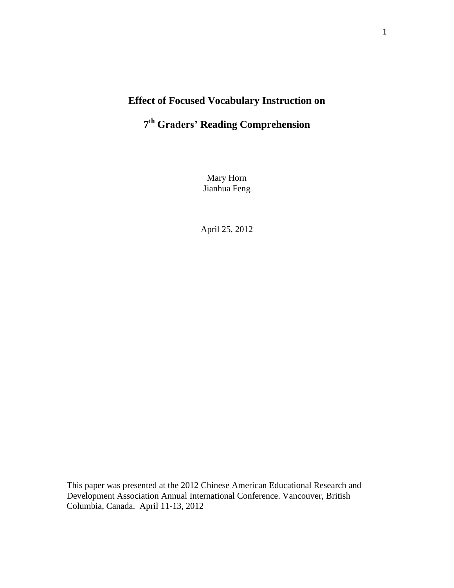## **Effect of Focused Vocabulary Instruction on**

# **7 th Graders' Reading Comprehension**

Mary Horn Jianhua Feng

April 25, 2012

This paper was presented at the 2012 Chinese American Educational Research and Development Association Annual International Conference. Vancouver, British Columbia, Canada. April 11-13, 2012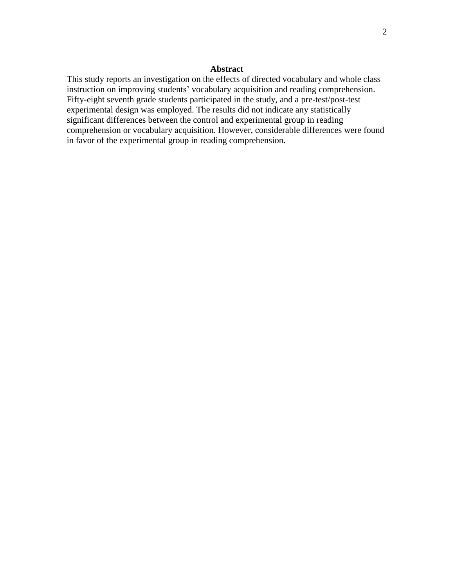### **Abstract**

This study reports an investigation on the effects of directed vocabulary and whole class instruction on improving students' vocabulary acquisition and reading comprehension. Fifty-eight seventh grade students participated in the study, and a pre-test/post-test experimental design was employed. The results did not indicate any statistically significant differences between the control and experimental group in reading comprehension or vocabulary acquisition. However, considerable differences were found in favor of the experimental group in reading comprehension.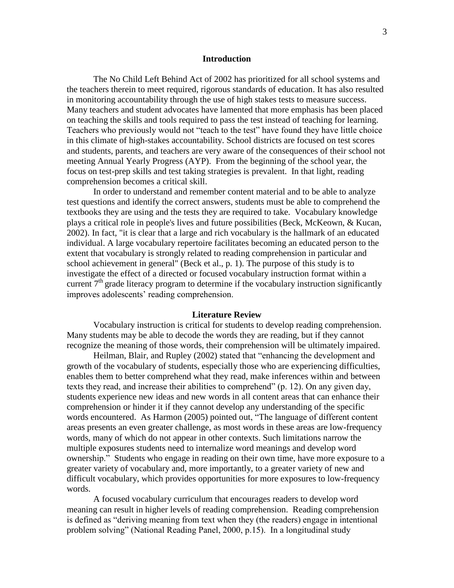### **Introduction**

The No Child Left Behind Act of 2002 has prioritized for all school systems and the teachers therein to meet required, rigorous standards of education. It has also resulted in monitoring accountability through the use of high stakes tests to measure success. Many teachers and student advocates have lamented that more emphasis has been placed on teaching the skills and tools required to pass the test instead of teaching for learning. Teachers who previously would not "teach to the test" have found they have little choice in this climate of high-stakes accountability. School districts are focused on test scores and students, parents, and teachers are very aware of the consequences of their school not meeting Annual Yearly Progress (AYP). From the beginning of the school year, the focus on test-prep skills and test taking strategies is prevalent. In that light, reading comprehension becomes a critical skill.

In order to understand and remember content material and to be able to analyze test questions and identify the correct answers, students must be able to comprehend the textbooks they are using and the tests they are required to take. Vocabulary knowledge plays a critical role in people's lives and future possibilities (Beck, McKeown, & Kucan, 2002). In fact, "it is clear that a large and rich vocabulary is the hallmark of an educated individual. A large vocabulary repertoire facilitates becoming an educated person to the extent that vocabulary is strongly related to reading comprehension in particular and school achievement in general" (Beck et al., p. 1). The purpose of this study is to investigate the effect of a directed or focused vocabulary instruction format within a current  $7<sup>th</sup>$  grade literacy program to determine if the vocabulary instruction significantly improves adolescents' reading comprehension.

#### **Literature Review**

Vocabulary instruction is critical for students to develop reading comprehension. Many students may be able to decode the words they are reading, but if they cannot recognize the meaning of those words, their comprehension will be ultimately impaired.

Heilman, Blair, and Rupley (2002) stated that "enhancing the development and growth of the vocabulary of students, especially those who are experiencing difficulties, enables them to better comprehend what they read, make inferences within and between texts they read, and increase their abilities to comprehend" (p. 12). On any given day, students experience new ideas and new words in all content areas that can enhance their comprehension or hinder it if they cannot develop any understanding of the specific words encountered. As Harmon (2005) pointed out, "The language of different content areas presents an even greater challenge, as most words in these areas are low-frequency words, many of which do not appear in other contexts. Such limitations narrow the multiple exposures students need to internalize word meanings and develop word ownership." Students who engage in reading on their own time, have more exposure to a greater variety of vocabulary and, more importantly, to a greater variety of new and difficult vocabulary, which provides opportunities for more exposures to low-frequency words.

A focused vocabulary curriculum that encourages readers to develop word meaning can result in higher levels of reading comprehension. Reading comprehension is defined as "deriving meaning from text when they (the readers) engage in intentional problem solving" (National Reading Panel, 2000, p.15). In a longitudinal study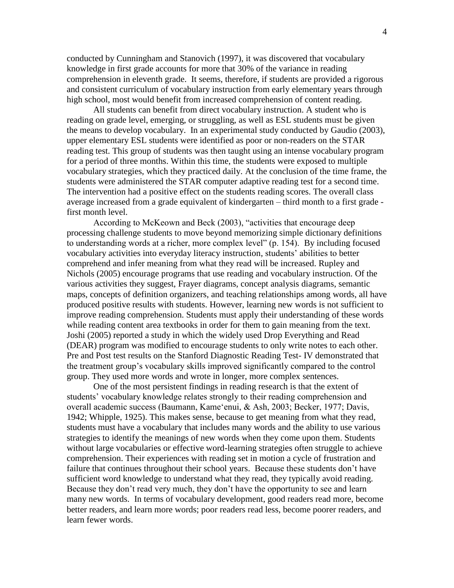conducted by Cunningham and Stanovich (1997), it was discovered that vocabulary knowledge in first grade accounts for more that 30% of the variance in reading comprehension in eleventh grade. It seems, therefore, if students are provided a rigorous and consistent curriculum of vocabulary instruction from early elementary years through high school, most would benefit from increased comprehension of content reading.

All students can benefit from direct vocabulary instruction. A student who is reading on grade level, emerging, or struggling, as well as ESL students must be given the means to develop vocabulary. In an experimental study conducted by Gaudio (2003), upper elementary ESL students were identified as poor or non-readers on the STAR reading test. This group of students was then taught using an intense vocabulary program for a period of three months. Within this time, the students were exposed to multiple vocabulary strategies, which they practiced daily. At the conclusion of the time frame, the students were administered the STAR computer adaptive reading test for a second time. The intervention had a positive effect on the students reading scores. The overall class average increased from a grade equivalent of kindergarten – third month to a first grade first month level.

According to McKeown and Beck (2003), "activities that encourage deep processing challenge students to move beyond memorizing simple dictionary definitions to understanding words at a richer, more complex level" (p. 154). By including focused vocabulary activities into everyday literacy instruction, students' abilities to better comprehend and infer meaning from what they read will be increased. Rupley and Nichols (2005) encourage programs that use reading and vocabulary instruction. Of the various activities they suggest, Frayer diagrams, concept analysis diagrams, semantic maps, concepts of definition organizers, and teaching relationships among words, all have produced positive results with students. However, learning new words is not sufficient to improve reading comprehension. Students must apply their understanding of these words while reading content area textbooks in order for them to gain meaning from the text. Joshi (2005) reported a study in which the widely used Drop Everything and Read (DEAR) program was modified to encourage students to only write notes to each other. Pre and Post test results on the Stanford Diagnostic Reading Test- IV demonstrated that the treatment group's vocabulary skills improved significantly compared to the control group. They used more words and wrote in longer, more complex sentences.

One of the most persistent findings in reading research is that the extent of students' vocabulary knowledge relates strongly to their reading comprehension and overall academic success (Baumann, Kame'enui, & Ash, 2003; Becker, 1977; Davis, 1942; Whipple, 1925). This makes sense, because to get meaning from what they read, students must have a vocabulary that includes many words and the ability to use various strategies to identify the meanings of new words when they come upon them. Students without large vocabularies or effective word-learning strategies often struggle to achieve comprehension. Their experiences with reading set in motion a cycle of frustration and failure that continues throughout their school years. Because these students don't have sufficient word knowledge to understand what they read, they typically avoid reading. Because they don't read very much, they don't have the opportunity to see and learn many new words. In terms of vocabulary development, good readers read more, become better readers, and learn more words; poor readers read less, become poorer readers, and learn fewer words.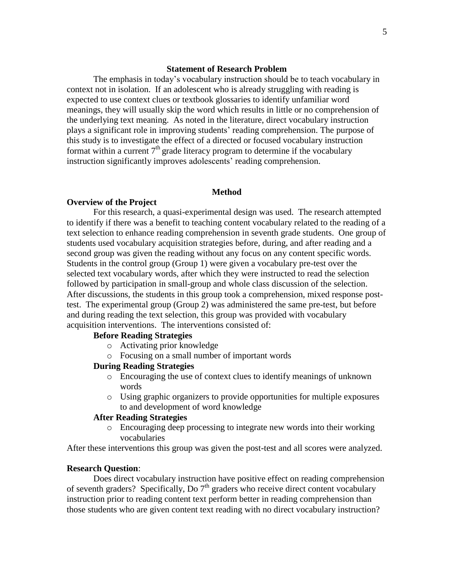### **Statement of Research Problem**

The emphasis in today's vocabulary instruction should be to teach vocabulary in context not in isolation. If an adolescent who is already struggling with reading is expected to use context clues or textbook glossaries to identify unfamiliar word meanings, they will usually skip the word which results in little or no comprehension of the underlying text meaning. As noted in the literature, direct vocabulary instruction plays a significant role in improving students' reading comprehension. The purpose of this study is to investigate the effect of a directed or focused vocabulary instruction format within a current  $7<sup>th</sup>$  grade literacy program to determine if the vocabulary instruction significantly improves adolescents' reading comprehension.

### **Method**

### **Overview of the Project**

For this research, a quasi-experimental design was used. The research attempted to identify if there was a benefit to teaching content vocabulary related to the reading of a text selection to enhance reading comprehension in seventh grade students. One group of students used vocabulary acquisition strategies before, during, and after reading and a second group was given the reading without any focus on any content specific words. Students in the control group (Group 1) were given a vocabulary pre-test over the selected text vocabulary words, after which they were instructed to read the selection followed by participation in small-group and whole class discussion of the selection. After discussions, the students in this group took a comprehension, mixed response posttest. The experimental group (Group 2) was administered the same pre-test, but before and during reading the text selection, this group was provided with vocabulary acquisition interventions. The interventions consisted of:

### **Before Reading Strategies**

- o Activating prior knowledge
- o Focusing on a small number of important words

### **During Reading Strategies**

- o Encouraging the use of context clues to identify meanings of unknown words
- o Using graphic organizers to provide opportunities for multiple exposures to and development of word knowledge

### **After Reading Strategies**

o Encouraging deep processing to integrate new words into their working vocabularies

After these interventions this group was given the post-test and all scores were analyzed.

#### **Research Question**:

Does direct vocabulary instruction have positive effect on reading comprehension of seventh graders? Specifically, Do  $7<sup>th</sup>$  graders who receive direct content vocabulary instruction prior to reading content text perform better in reading comprehension than those students who are given content text reading with no direct vocabulary instruction?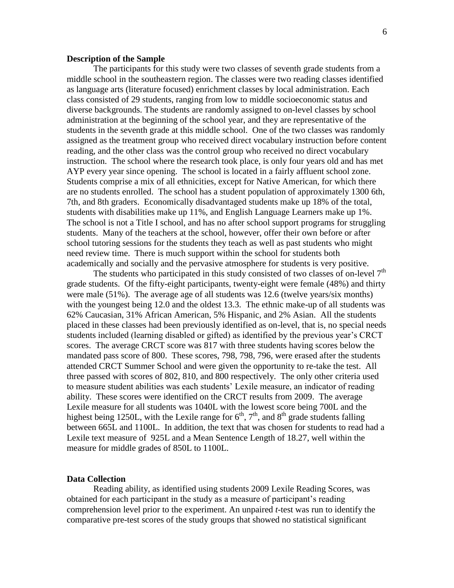### **Description of the Sample**

The participants for this study were two classes of seventh grade students from a middle school in the southeastern region. The classes were two reading classes identified as language arts (literature focused) enrichment classes by local administration. Each class consisted of 29 students, ranging from low to middle socioeconomic status and diverse backgrounds. The students are randomly assigned to on-level classes by school administration at the beginning of the school year, and they are representative of the students in the seventh grade at this middle school. One of the two classes was randomly assigned as the treatment group who received direct vocabulary instruction before content reading, and the other class was the control group who received no direct vocabulary instruction. The school where the research took place, is only four years old and has met AYP every year since opening. The school is located in a fairly affluent school zone. Students comprise a mix of all ethnicities, except for Native American, for which there are no students enrolled. The school has a student population of approximately 1300 6th, 7th, and 8th graders. Economically disadvantaged students make up 18% of the total, students with disabilities make up 11%, and English Language Learners make up 1%. The school is not a Title I school, and has no after school support programs for struggling students. Many of the teachers at the school, however, offer their own before or after school tutoring sessions for the students they teach as well as past students who might need review time. There is much support within the school for students both academically and socially and the pervasive atmosphere for students is very positive.

The students who participated in this study consisted of two classes of on-level  $7<sup>th</sup>$ grade students. Of the fifty-eight participants, twenty-eight were female (48%) and thirty were male (51%). The average age of all students was 12.6 (twelve years/six months) with the youngest being 12.0 and the oldest 13.3. The ethnic make-up of all students was 62% Caucasian, 31% African American, 5% Hispanic, and 2% Asian. All the students placed in these classes had been previously identified as on-level, that is, no special needs students included (learning disabled or gifted) as identified by the previous year's CRCT scores. The average CRCT score was 817 with three students having scores below the mandated pass score of 800. These scores, 798, 798, 796, were erased after the students attended CRCT Summer School and were given the opportunity to re-take the test. All three passed with scores of 802, 810, and 800 respectively. The only other criteria used to measure student abilities was each students' Lexile measure, an indicator of reading ability. These scores were identified on the CRCT results from 2009. The average Lexile measure for all students was 1040L with the lowest score being 700L and the highest being 1250L, with the Lexile range for  $6<sup>th</sup>$ ,  $7<sup>th</sup>$ , and  $8<sup>th</sup>$  grade students falling between 665L and 1100L. In addition, the text that was chosen for students to read had a Lexile text measure of 925L and a Mean Sentence Length of 18.27, well within the measure for middle grades of 850L to 1100L.

### **Data Collection**

Reading ability, as identified using students 2009 Lexile Reading Scores, was obtained for each participant in the study as a measure of participant's reading comprehension level prior to the experiment. An unpaired *t*-test was run to identify the comparative pre-test scores of the study groups that showed no statistical significant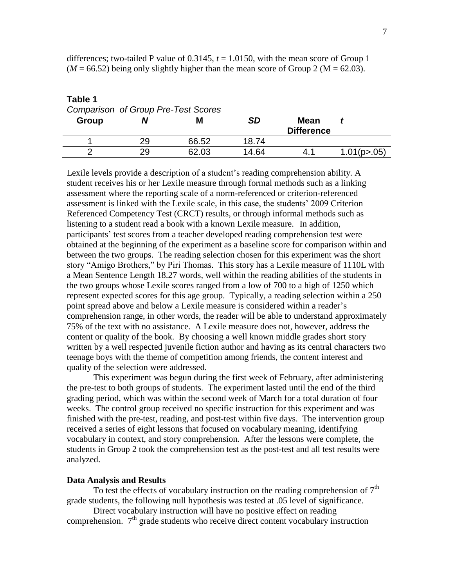| rapie 1<br>Comparison of Group Pre-Test Scores |    |       |       |                           |               |
|------------------------------------------------|----|-------|-------|---------------------------|---------------|
| Group                                          |    |       | SD    | Mean<br><b>Difference</b> |               |
|                                                | 29 | 66.52 | 18.74 |                           |               |
|                                                | 29 | 62.03 | 14.64 | 4.1                       | 1.01(p > .05) |

differences; two-tailed P value of  $0.3145$ ,  $t = 1.0150$ , with the mean score of Group 1  $(M = 66.52)$  being only slightly higher than the mean score of Group 2 ( $M = 62.03$ ).

Lexile levels provide a description of a student's reading comprehension ability. A student receives his or her Lexile measure through formal methods such as a linking assessment where the reporting scale of a norm-referenced or criterion-referenced assessment is linked with the Lexile scale, in this case, the students' 2009 Criterion Referenced Competency Test (CRCT) results, or through informal methods such as listening to a student read a book with a known Lexile measure. In addition, participants' test scores from a teacher developed reading comprehension test were obtained at the beginning of the experiment as a baseline score for comparison within and between the two groups. The reading selection chosen for this experiment was the short story "Amigo Brothers," by Piri Thomas. This story has a Lexile measure of 1110L with a Mean Sentence Length 18.27 words, well within the reading abilities of the students in the two groups whose Lexile scores ranged from a low of 700 to a high of 1250 which represent expected scores for this age group. Typically, a reading selection within a 250 point spread above and below a Lexile measure is considered within a reader's comprehension range, in other words, the reader will be able to understand approximately 75% of the text with no assistance. A Lexile measure does not, however, address the content or quality of the book. By choosing a well known middle grades short story written by a well respected juvenile fiction author and having as its central characters two teenage boys with the theme of competition among friends, the content interest and quality of the selection were addressed.

This experiment was begun during the first week of February, after administering the pre-test to both groups of students. The experiment lasted until the end of the third grading period, which was within the second week of March for a total duration of four weeks. The control group received no specific instruction for this experiment and was finished with the pre-test, reading, and post-test within five days. The intervention group received a series of eight lessons that focused on vocabulary meaning, identifying vocabulary in context, and story comprehension. After the lessons were complete, the students in Group 2 took the comprehension test as the post-test and all test results were analyzed.

#### **Data Analysis and Results**

**Table 1**

To test the effects of vocabulary instruction on the reading comprehension of  $7<sup>th</sup>$ grade students, the following null hypothesis was tested at .05 level of significance.

Direct vocabulary instruction will have no positive effect on reading comprehension.  $7<sup>th</sup>$  grade students who receive direct content vocabulary instruction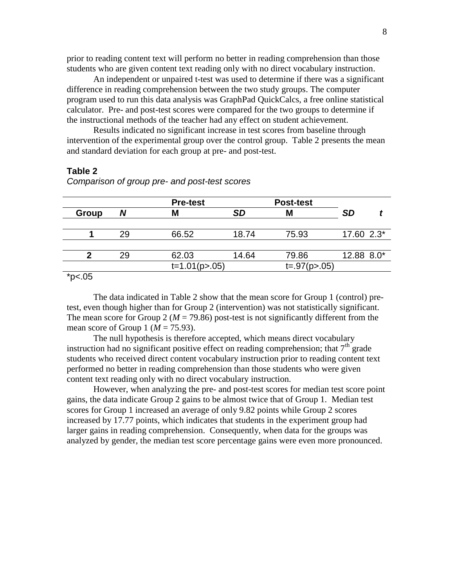prior to reading content text will perform no better in reading comprehension than those students who are given content text reading only with no direct vocabulary instruction.

An independent or unpaired t-test was used to determine if there was a significant difference in reading comprehension between the two study groups. The computer program used to run this data analysis was GraphPad QuickCalcs, a free online statistical calculator. Pre- and post-test scores were compared for the two groups to determine if the instructional methods of the teacher had any effect on student achievement.

Results indicated no significant increase in test scores from baseline through intervention of the experimental group over the control group. Table 2 presents the mean and standard deviation for each group at pre- and post-test.

### **Table 2**

|                           |    | <b>Pre-test</b>  |           | <b>Post-test</b> |              |
|---------------------------|----|------------------|-----------|------------------|--------------|
| Group                     |    |                  | <b>SD</b> | M                | <b>SD</b>    |
|                           |    |                  |           |                  |              |
|                           | 29 | 66.52            | 18.74     | 75.93            | $17.60$ 2.3* |
|                           |    |                  |           |                  |              |
|                           | 29 | 62.03            | 14.64     | 79.86            | 12.88 8.0*   |
|                           |    | $t=1.01(p>0.05)$ |           | $t=.97(p>.05)$   |              |
| also the<br>$\sim$ $\sim$ |    |                  |           |                  |              |

### *Comparison of group pre- and post-test scores*

 $*<sub>p</sub><sub>0.05</sub>$ 

The data indicated in Table 2 show that the mean score for Group 1 (control) pretest, even though higher than for Group 2 (intervention) was not statistically significant. The mean score for Group 2 ( $M = 79.86$ ) post-test is not significantly different from the mean score of Group 1 ( $M = 75.93$ ).

The null hypothesis is therefore accepted, which means direct vocabulary instruction had no significant positive effect on reading comprehension; that  $7<sup>th</sup>$  grade students who received direct content vocabulary instruction prior to reading content text performed no better in reading comprehension than those students who were given content text reading only with no direct vocabulary instruction.

However, when analyzing the pre- and post-test scores for median test score point gains, the data indicate Group 2 gains to be almost twice that of Group 1. Median test scores for Group 1 increased an average of only 9.82 points while Group 2 scores increased by 17.77 points, which indicates that students in the experiment group had larger gains in reading comprehension. Consequently, when data for the groups was analyzed by gender, the median test score percentage gains were even more pronounced.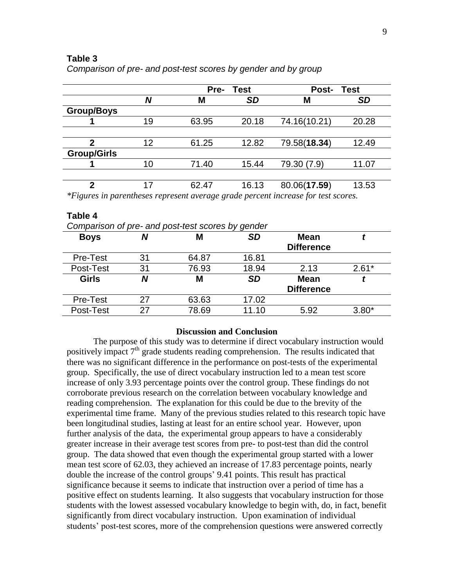### **Table 3**

| N  | Pre-<br><b>Test</b> |           | <b>Post-</b><br>Test |           |
|----|---------------------|-----------|----------------------|-----------|
|    | Μ                   | <b>SD</b> | М                    | <b>SD</b> |
|    |                     |           |                      |           |
| 19 | 63.95               | 20.18     | 74.16(10.21)         | 20.28     |
|    |                     |           |                      |           |
| 12 | 61.25               | 12.82     | 79.58(18.34)         | 12.49     |
|    |                     |           |                      |           |
| 10 | 71.40               | 15.44     | 79.30 (7.9)          | 11.07     |
|    |                     |           |                      |           |
| 17 | 62.47               | 16.13     | 80.06(17.59)         | 13.53     |
|    |                     |           |                      |           |

*Comparison of pre- and post-test scores by gender and by group*

**Table 4** *Comparison of pre- and post-test scores by gender* **Boys** *N* **M** *SD* **Mean Difference** *t* Pre-Test 31 64.87 16.81 Post-Test 31 76.93 18.94 2.13 2.61<sup>\*</sup> **Girls** *N* **M** *SD* **Mean Difference** *t* Pre-Test 27 63.63 17.02 Post-Test 27 78.69 11.10 5.92 3.80\*

### **Discussion and Conclusion**

The purpose of this study was to determine if direct vocabulary instruction would positively impact  $7<sup>th</sup>$  grade students reading comprehension. The results indicated that there was no significant difference in the performance on post-tests of the experimental group. Specifically, the use of direct vocabulary instruction led to a mean test score increase of only 3.93 percentage points over the control group. These findings do not corroborate previous research on the correlation between vocabulary knowledge and reading comprehension. The explanation for this could be due to the brevity of the experimental time frame. Many of the previous studies related to this research topic have been longitudinal studies, lasting at least for an entire school year. However, upon further analysis of the data, the experimental group appears to have a considerably greater increase in their average test scores from pre- to post-test than did the control group. The data showed that even though the experimental group started with a lower mean test score of 62.03, they achieved an increase of 17.83 percentage points, nearly double the increase of the control groups' 9.41 points. This result has practical significance because it seems to indicate that instruction over a period of time has a positive effect on students learning. It also suggests that vocabulary instruction for those students with the lowest assessed vocabulary knowledge to begin with, do, in fact, benefit significantly from direct vocabulary instruction. Upon examination of individual students' post-test scores, more of the comprehension questions were answered correctly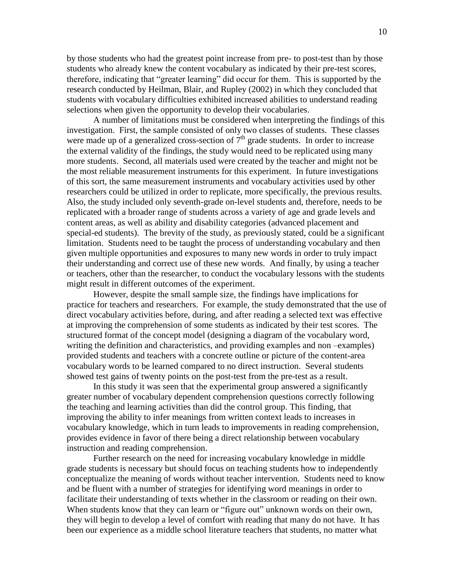by those students who had the greatest point increase from pre- to post-test than by those students who already knew the content vocabulary as indicated by their pre-test scores, therefore, indicating that "greater learning" did occur for them. This is supported by the research conducted by Heilman, Blair, and Rupley (2002) in which they concluded that students with vocabulary difficulties exhibited increased abilities to understand reading selections when given the opportunity to develop their vocabularies.

A number of limitations must be considered when interpreting the findings of this investigation. First, the sample consisted of only two classes of students. These classes were made up of a generalized cross-section of  $7<sup>th</sup>$  grade students. In order to increase the external validity of the findings, the study would need to be replicated using many more students. Second, all materials used were created by the teacher and might not be the most reliable measurement instruments for this experiment. In future investigations of this sort, the same measurement instruments and vocabulary activities used by other researchers could be utilized in order to replicate, more specifically, the previous results. Also, the study included only seventh-grade on-level students and, therefore, needs to be replicated with a broader range of students across a variety of age and grade levels and content areas, as well as ability and disability categories (advanced placement and special-ed students). The brevity of the study, as previously stated, could be a significant limitation. Students need to be taught the process of understanding vocabulary and then given multiple opportunities and exposures to many new words in order to truly impact their understanding and correct use of these new words. And finally, by using a teacher or teachers, other than the researcher, to conduct the vocabulary lessons with the students might result in different outcomes of the experiment.

However, despite the small sample size, the findings have implications for practice for teachers and researchers. For example, the study demonstrated that the use of direct vocabulary activities before, during, and after reading a selected text was effective at improving the comprehension of some students as indicated by their test scores. The structured format of the concept model (designing a diagram of the vocabulary word, writing the definition and characteristics, and providing examples and non –examples) provided students and teachers with a concrete outline or picture of the content-area vocabulary words to be learned compared to no direct instruction. Several students showed test gains of twenty points on the post-test from the pre-test as a result.

In this study it was seen that the experimental group answered a significantly greater number of vocabulary dependent comprehension questions correctly following the teaching and learning activities than did the control group. This finding, that improving the ability to infer meanings from written context leads to increases in vocabulary knowledge, which in turn leads to improvements in reading comprehension, provides evidence in favor of there being a direct relationship between vocabulary instruction and reading comprehension.

Further research on the need for increasing vocabulary knowledge in middle grade students is necessary but should focus on teaching students how to independently conceptualize the meaning of words without teacher intervention. Students need to know and be fluent with a number of strategies for identifying word meanings in order to facilitate their understanding of texts whether in the classroom or reading on their own. When students know that they can learn or "figure out" unknown words on their own, they will begin to develop a level of comfort with reading that many do not have. It has been our experience as a middle school literature teachers that students, no matter what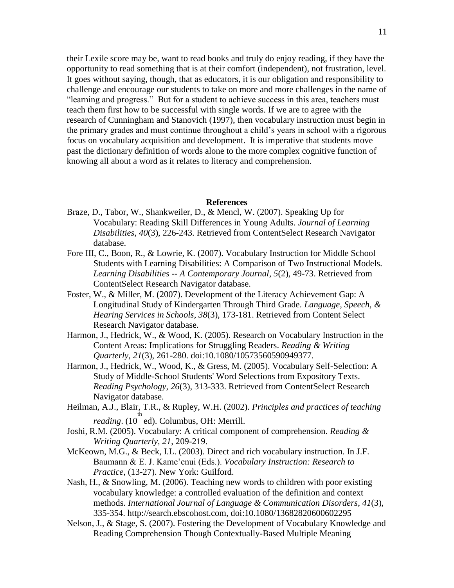their Lexile score may be, want to read books and truly do enjoy reading, if they have the opportunity to read something that is at their comfort (independent), not frustration, level. It goes without saying, though, that as educators, it is our obligation and responsibility to challenge and encourage our students to take on more and more challenges in the name of "learning and progress." But for a student to achieve success in this area, teachers must teach them first how to be successful with single words. If we are to agree with the research of Cunningham and Stanovich (1997), then vocabulary instruction must begin in the primary grades and must continue throughout a child's years in school with a rigorous focus on vocabulary acquisition and development. It is imperative that students move past the dictionary definition of words alone to the more complex cognitive function of knowing all about a word as it relates to literacy and comprehension.

#### **References**

- Braze, D., Tabor, W., Shankweiler, D., & Mencl, W. (2007). Speaking Up for Vocabulary: Reading Skill Differences in Young Adults. *Journal of Learning Disabilities*, *40*(3), 226-243. Retrieved from ContentSelect Research Navigator database.
- Fore III, C., Boon, R., & Lowrie, K. (2007). Vocabulary Instruction for Middle School Students with Learning Disabilities: A Comparison of Two Instructional Models. *Learning Disabilities -- A Contemporary Journal*, *5*(2), 49-73. Retrieved from ContentSelect Research Navigator database.
- Foster, W., & Miller, M. (2007). Development of the Literacy Achievement Gap: A Longitudinal Study of Kindergarten Through Third Grade. *Language, Speech, & Hearing Services in Schools*, *38*(3), 173-181. Retrieved from Content Select Research Navigator database.
- Harmon, J., Hedrick, W., & Wood, K. (2005). Research on Vocabulary Instruction in the Content Areas: Implications for Struggling Readers. *Reading & Writing Quarterly*, *21*(3), 261-280. doi:10.1080/10573560590949377.
- Harmon, J., Hedrick, W., Wood, K., & Gress, M. (2005). Vocabulary Self-Selection: A Study of Middle-School Students' Word Selections from Expository Texts. *Reading Psychology*, *26*(3), 313-333. Retrieved from ContentSelect Research Navigator database.
- Heilman, A.J., Blair, T.R., & Rupley, W.H. (2002). *Principles and practices of teaching*  th reading. (10 ed). Columbus, OH: Merrill.
- Joshi, R.M. (2005). Vocabulary: A critical component of comprehension*. Reading & Writing Quarterly, 21*, 209-219.
- McKeown, M.G., & Beck, I.L. (2003). Direct and rich vocabulary instruction. In J.F. Baumann & E. J. Kame'enui (Eds.). *Vocabulary Instruction: Research to Practice*, (13-27). New York: Guilford.
- Nash, H., & Snowling, M. (2006). Teaching new words to children with poor existing vocabulary knowledge: a controlled evaluation of the definition and context methods. *International Journal of Language & Communication Disorders*, *41*(3), 335-354. http://search.ebscohost.com, doi:10.1080/13682820600602295
- Nelson, J., & Stage, S. (2007). Fostering the Development of Vocabulary Knowledge and Reading Comprehension Though Contextually-Based Multiple Meaning